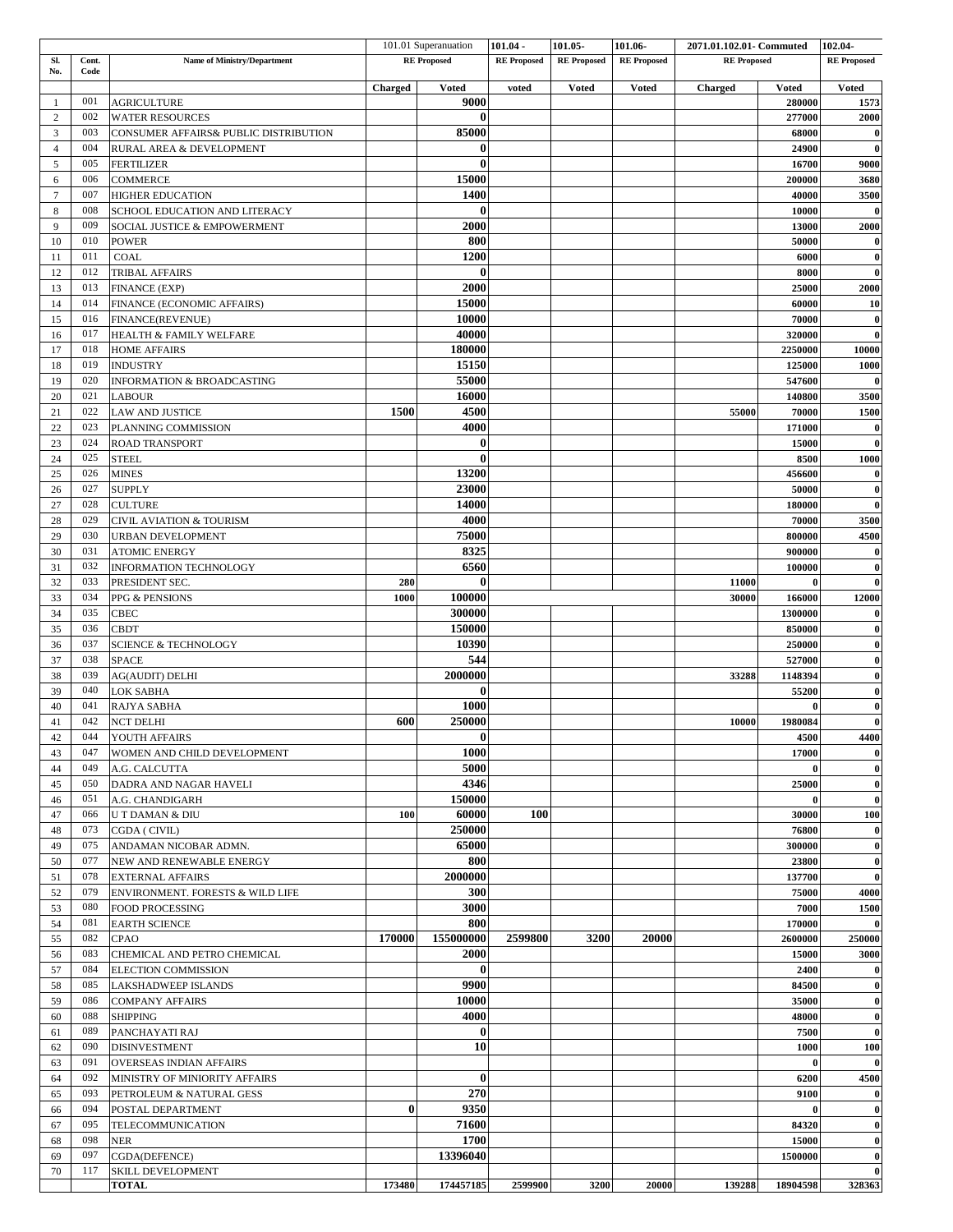|                |       |                                       |                | 101.01 Superanuation | $101.04 -$         | 101.05             | 101.06-            | 2071.01.102.01- Commuted |              | 102.04-            |
|----------------|-------|---------------------------------------|----------------|----------------------|--------------------|--------------------|--------------------|--------------------------|--------------|--------------------|
| Sl.            | Cont. | <b>Name of Ministry/Department</b>    |                | <b>RE</b> Proposed   | <b>RE</b> Proposed | <b>RE</b> Proposed | <b>RE</b> Proposed | <b>RE</b> Proposed       |              | <b>RE</b> Proposed |
| No.            | Code  |                                       |                |                      |                    |                    |                    |                          |              |                    |
|                |       |                                       | <b>Charged</b> | <b>Voted</b>         | voted              | <b>Voted</b>       | <b>Voted</b>       | Charged                  | <b>Voted</b> | <b>Voted</b>       |
| -1             | 001   | <b>AGRICULTURE</b>                    |                | 9000                 |                    |                    |                    |                          | 280000       | 1573               |
| $\overline{c}$ | 002   | <b>WATER RESOURCES</b>                |                | $\bf{0}$             |                    |                    |                    |                          | 277000       | 2000               |
| 3              | 003   | CONSUMER AFFAIRS& PUBLIC DISTRIBUTION |                | 85000                |                    |                    |                    |                          | 68000        | $\bf{0}$           |
| $\overline{4}$ | 004   | RURAL AREA & DEVELOPMENT              |                | 0                    |                    |                    |                    |                          | 24900        | $\bf{0}$           |
| 5              | 005   | <b>FERTILIZER</b>                     |                | $\bf{0}$             |                    |                    |                    |                          | 16700        | 9000               |
| 6              | 006   | <b>COMMERCE</b>                       |                | 15000                |                    |                    |                    |                          | 200000       | 3680               |
| $\overline{7}$ | 007   | <b>HIGHER EDUCATION</b>               |                | 1400                 |                    |                    |                    |                          | 40000        | 3500               |
| 8              | 008   | SCHOOL EDUCATION AND LITERACY         |                | $\bf{0}$             |                    |                    |                    |                          | 10000        | $\bf{0}$           |
| 9              | 009   | SOCIAL JUSTICE & EMPOWERMENT          |                | 2000                 |                    |                    |                    |                          | 13000        | 2000               |
| 10             | 010   | <b>POWER</b>                          |                | 800                  |                    |                    |                    |                          | 50000        | $\bf{0}$           |
| 11             | 011   | <b>COAL</b>                           |                | 1200                 |                    |                    |                    |                          | 6000         | $\bf{0}$           |
|                | 012   |                                       |                | $\bf{0}$             |                    |                    |                    |                          |              |                    |
| 12             |       | <b>TRIBAL AFFAIRS</b>                 |                |                      |                    |                    |                    |                          | 8000         | $\pmb{0}$          |
| 13             | 013   | FINANCE (EXP)                         |                | 2000                 |                    |                    |                    |                          | 25000        | 2000               |
| 14             | 014   | FINANCE (ECONOMIC AFFAIRS)            |                | 15000                |                    |                    |                    |                          | 60000        | 10                 |
| 15             | 016   | FINANCE(REVENUE)                      |                | 10000                |                    |                    |                    |                          | 70000        | $\pmb{0}$          |
| 16             | 017   | HEALTH & FAMILY WELFARE               |                | 40000                |                    |                    |                    |                          | 320000       | $\bf{0}$           |
| 17             | 018   | <b>HOME AFFAIRS</b>                   |                | 180000               |                    |                    |                    |                          | 2250000      | 10000              |
| 18             | 019   | <b>INDUSTRY</b>                       |                | 15150                |                    |                    |                    |                          | 125000       | 1000               |
| 19             | 020   | <b>INFORMATION &amp; BROADCASTING</b> |                | 55000                |                    |                    |                    |                          | 547600       | $\bf{0}$           |
| 20             | 021   | <b>LABOUR</b>                         |                | 16000                |                    |                    |                    |                          | 140800       | 3500               |
| 21             | 022   | <b>LAW AND JUSTICE</b>                | 1500           | 4500                 |                    |                    |                    | 55000                    | 70000        | 1500               |
| 22             | 023   | PLANNING COMMISSION                   |                | 4000                 |                    |                    |                    |                          | 171000       | $\bf{0}$           |
| 23             | 024   | <b>ROAD TRANSPORT</b>                 |                | $\bf{0}$             |                    |                    |                    |                          | 15000        | $\pmb{0}$          |
| 24             | 025   | <b>STEEL</b>                          |                | $\mathbf{0}$         |                    |                    |                    |                          | 8500         | 1000               |
| 25             | 026   | <b>MINES</b>                          |                | 13200                |                    |                    |                    |                          | 456600       | $\bf{0}$           |
| 26             | 027   | <b>SUPPLY</b>                         |                | 23000                |                    |                    |                    |                          | 50000        | $\bf{0}$           |
| 27             | 028   | <b>CULTURE</b>                        |                | 14000                |                    |                    |                    |                          | 180000       | $\bf{0}$           |
| 28             | 029   |                                       |                | 4000                 |                    |                    |                    |                          | 70000        |                    |
|                | 030   | CIVIL AVIATION & TOURISM              |                |                      |                    |                    |                    |                          |              | 3500               |
| 29             |       | URBAN DEVELOPMENT                     |                | 75000                |                    |                    |                    |                          | 800000       | 4500               |
| 30             | 031   | <b>ATOMIC ENERGY</b>                  |                | 8325                 |                    |                    |                    |                          | 900000       | $\pmb{0}$          |
| 31             | 032   | INFORMATION TECHNOLOGY                |                | 6560                 |                    |                    |                    |                          | 100000       | $\bf{0}$           |
| 32             | 033   | PRESIDENT SEC.                        | 280            | $\mathbf{0}$         |                    |                    |                    | 11000                    | $\theta$     | $\bf{0}$           |
| 33             | 034   | PPG & PENSIONS                        | 1000           | 100000               |                    |                    |                    | 30000                    | 166000       | 12000              |
| 34             | 035   | CBEC                                  |                | 300000               |                    |                    |                    |                          | 1300000      | $\bf{0}$           |
| 35             | 036   | <b>CBDT</b>                           |                | 150000               |                    |                    |                    |                          | 850000       | $\bf{0}$           |
| 36             | 037   | <b>SCIENCE &amp; TECHNOLOGY</b>       |                | 10390                |                    |                    |                    |                          | 250000       | $\bf{0}$           |
| 37             | 038   | <b>SPACE</b>                          |                | 544                  |                    |                    |                    |                          | 527000       | $\pmb{0}$          |
| 38             | 039   | <b>AG(AUDIT) DELHI</b>                |                | 2000000              |                    |                    |                    | 33288                    | 1148394      | $\bf{0}$           |
| 39             | 040   | LOK SABHA                             |                | $\bf{0}$             |                    |                    |                    |                          | 55200        | $\bf{0}$           |
| 40             | 041   | RAJYA SABHA                           |                | 1000                 |                    |                    |                    |                          | $\mathbf{0}$ | $\pmb{0}$          |
| 41             | 042   | <b>NCT DELHI</b>                      | 600            | 250000               |                    |                    |                    | 10000                    | 1980084      | $\bf{0}$           |
| 42             | 044   | YOUTH AFFAIRS                         |                | $\bf{0}$             |                    |                    |                    |                          | 4500         | 4400               |
| 43             | 047   | WOMEN AND CHILD DEVELOPMENT           |                | <b>1000</b>          |                    |                    |                    |                          | 17000        | $\bf{0}$           |
| 44             | 049   | A.G. CALCUTTA                         |                | 5000                 |                    |                    |                    |                          |              | $\bf{0}$           |
| 45             | 050   | DADRA AND NAGAR HAVELI                |                | 4346                 |                    |                    |                    |                          | 25000        | $\bf{0}$           |
|                |       |                                       |                |                      |                    |                    |                    |                          | $\mathbf{0}$ | $\bf{0}$           |
| 46             | 051   | A.G. CHANDIGARH                       |                | 150000<br>60000      |                    |                    |                    |                          |              |                    |
| 47             | 066   | U T DAMAN & DIU                       | 100            |                      | 100                |                    |                    |                          | 30000        | 100                |
| 48             | 073   | CGDA ( CIVIL)                         |                | <b>250000</b>        |                    |                    |                    |                          | 76800        | $\bf{0}$           |
| 49             | 075   | ANDAMAN NICOBAR ADMN.                 |                | 65000                |                    |                    |                    |                          | 300000       | $\boldsymbol{0}$   |
| 50             | 077   | NEW AND RENEWABLE ENERGY              |                | 800                  |                    |                    |                    |                          | 23800        | $\bf{0}$           |
| 51             | 078   | <b>EXTERNAL AFFAIRS</b>               |                | 2000000              |                    |                    |                    |                          | 137700       | $\bf{0}$           |
| 52             | 079   | ENVIRONMENT. FORESTS & WILD LIFE      |                | 300                  |                    |                    |                    |                          | 75000        | 4000               |
| 53             | 080   | FOOD PROCESSING                       |                | 3000                 |                    |                    |                    |                          | 7000         | 1500               |
| 54             | 081   | <b>EARTH SCIENCE</b>                  |                | 800                  |                    |                    |                    |                          | 170000       | $\bf{0}$           |
| 55             | 082   | CPAO                                  | 170000         | 155000000            | 2599800            | 3200               | 20000              |                          | 2600000      | 250000             |
| 56             | 083   | CHEMICAL AND PETRO CHEMICAL           |                | 2000                 |                    |                    |                    |                          | 15000        | 3000               |
| 57             | 084   | ELECTION COMMISSION                   |                | $\bf{0}$             |                    |                    |                    |                          | 2400         | $\bf{0}$           |
| 58             | 085   | LAKSHADWEEP ISLANDS                   |                | 9900                 |                    |                    |                    |                          | 84500        | $\pmb{0}$          |
| 59             | 086   | <b>COMPANY AFFAIRS</b>                |                | 10000                |                    |                    |                    |                          | 35000        | $\bf{0}$           |
| 60             | 088   | <b>SHIPPING</b>                       |                | 4000                 |                    |                    |                    |                          | 48000        | $\bf{0}$           |
| 61             | 089   |                                       |                | $\bf{0}$             |                    |                    |                    |                          | 7500         | $\bf{0}$           |
|                |       | PANCHAYATI RAJ                        |                | 10                   |                    |                    |                    |                          |              |                    |
| 62             | 090   | <b>DISINVESTMENT</b>                  |                |                      |                    |                    |                    |                          | 1000         | 100                |
| 63             | 091   | OVERSEAS INDIAN AFFAIRS               |                |                      |                    |                    |                    |                          | $\mathbf 0$  | $\bf{0}$           |
| 64             | 092   | MINISTRY OF MINIORITY AFFAIRS         |                | $\bf{0}$             |                    |                    |                    |                          | 6200         | 4500               |
| 65             | 093   | PETROLEUM & NATURAL GESS              |                | 270                  |                    |                    |                    |                          | 9100         | $\bf{0}$           |
| 66             | 094   | POSTAL DEPARTMENT                     | $\bf{0}$       | 9350                 |                    |                    |                    |                          |              | $\bf{0}$           |
| 67             | 095   | TELECOMMUNICATION                     |                | 71600                |                    |                    |                    |                          | 84320        | $\bf{0}$           |
| 68             | 098   | <b>NER</b>                            |                | 1700                 |                    |                    |                    |                          | 15000        | $\boldsymbol{0}$   |
| 69             | 097   | CGDA(DEFENCE)                         |                | 13396040             |                    |                    |                    |                          | 1500000      | $\bf{0}$           |
| 70             | 117   | SKILL DEVELOPMENT                     |                |                      |                    |                    |                    |                          |              | $\bf{0}$           |
|                |       | <b>TOTAL</b>                          | 173480         | 174457185            | 2599900            | 3200               | 20000              | 139288                   | 18904598     | 328363             |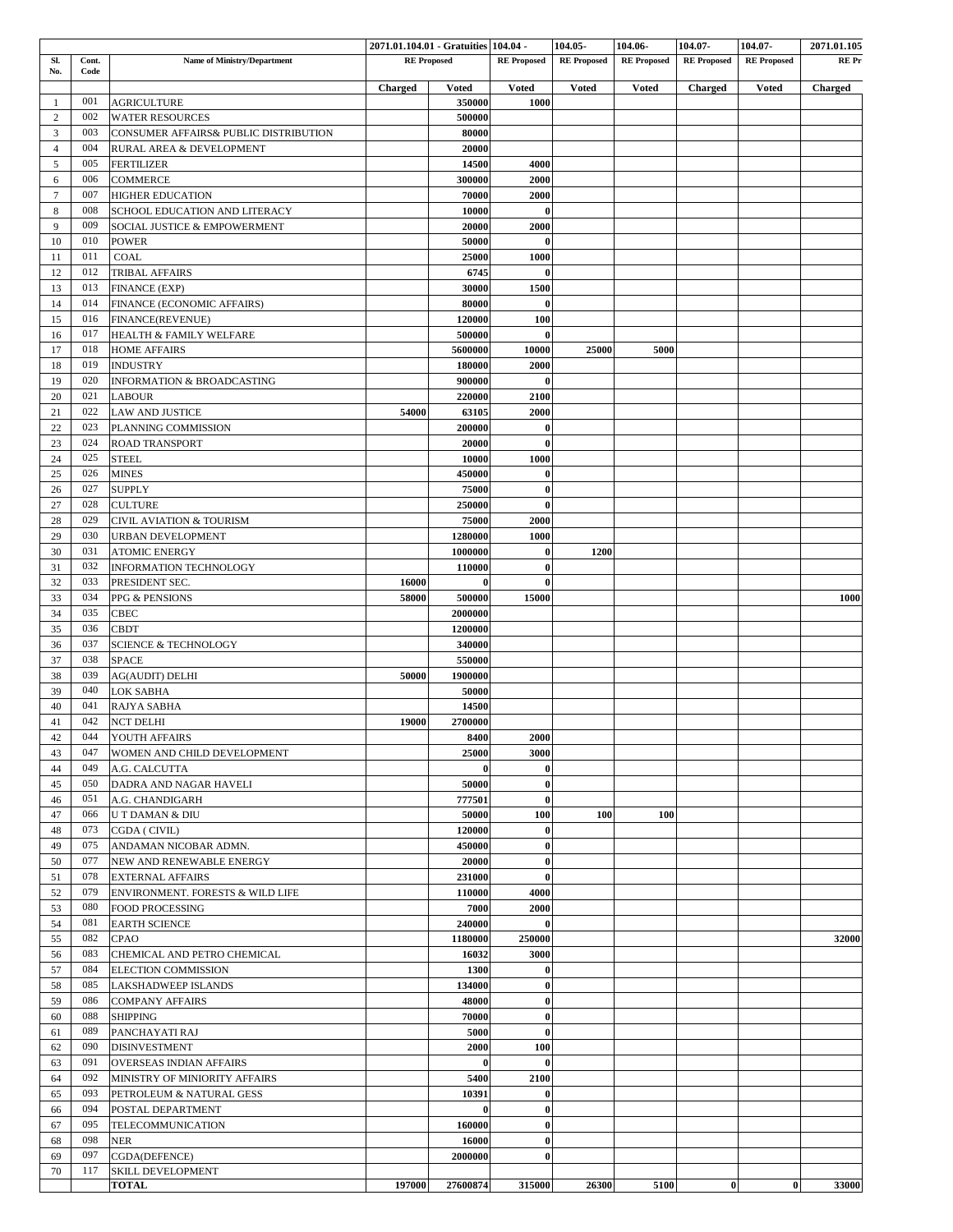|                |            |                                             |                    | 2071.01.104.01 - Gratuities 104.04 - |                      | 104.05             | 104.06-            | 104.07-            | 104.07-            | 2071.01.105 |
|----------------|------------|---------------------------------------------|--------------------|--------------------------------------|----------------------|--------------------|--------------------|--------------------|--------------------|-------------|
| Sl.            | Cont.      | <b>Name of Ministry/Department</b>          | <b>RE</b> Proposed |                                      | <b>RE</b> Proposed   | <b>RE</b> Proposed | <b>RE</b> Proposed | <b>RE</b> Proposed | <b>RE</b> Proposed | RE Pr       |
| No.            | Code       |                                             | Charged            | <b>Voted</b>                         | <b>Voted</b>         | <b>Voted</b>       | <b>Voted</b>       | <b>Charged</b>     | <b>Voted</b>       | Charged     |
| -1             | 001        | <b>AGRICULTURE</b>                          |                    | 350000                               | 1000                 |                    |                    |                    |                    |             |
| $\overline{2}$ | 002        | <b>WATER RESOURCES</b>                      |                    | 500000                               |                      |                    |                    |                    |                    |             |
| 3              | 003        | CONSUMER AFFAIRS& PUBLIC DISTRIBUTION       |                    | 80000                                |                      |                    |                    |                    |                    |             |
| $\overline{4}$ | 004        | RURAL AREA & DEVELOPMENT                    |                    | 20000                                |                      |                    |                    |                    |                    |             |
| 5              | 005        | <b>FERTILIZER</b>                           |                    | 14500                                | 4000                 |                    |                    |                    |                    |             |
| 6              | 006        | COMMERCE                                    |                    | 300000                               | 2000                 |                    |                    |                    |                    |             |
| $\overline{7}$ | 007        | <b>HIGHER EDUCATION</b>                     |                    | 70000                                | 2000                 |                    |                    |                    |                    |             |
| 8              | 008        | SCHOOL EDUCATION AND LITERACY               |                    | 10000                                | $\bf{0}$             |                    |                    |                    |                    |             |
| 9              | 009        | SOCIAL JUSTICE & EMPOWERMENT                |                    | 20000                                | 2000                 |                    |                    |                    |                    |             |
| 10             | 010        | <b>POWER</b>                                |                    | 50000                                | $\bf{0}$             |                    |                    |                    |                    |             |
| 11             | 011        | COAL                                        |                    | 25000                                | 1000                 |                    |                    |                    |                    |             |
| 12             | 012        | <b>TRIBAL AFFAIRS</b>                       |                    | 6745                                 | $\bf{0}$             |                    |                    |                    |                    |             |
| 13             | 013<br>014 | FINANCE (EXP)                               |                    | 30000                                | 1500<br>$\bf{0}$     |                    |                    |                    |                    |             |
| 14<br>15       | 016        | FINANCE (ECONOMIC AFFAIRS)                  |                    | 80000<br>120000                      | 100                  |                    |                    |                    |                    |             |
| 16             | 017        | FINANCE(REVENUE)<br>HEALTH & FAMILY WELFARE |                    | 500000                               | $\bf{0}$             |                    |                    |                    |                    |             |
| 17             | 018        | <b>HOME AFFAIRS</b>                         |                    | 5600000                              | 10000                | 25000              | 5000               |                    |                    |             |
| 18             | 019        | <b>INDUSTRY</b>                             |                    | 180000                               | 2000                 |                    |                    |                    |                    |             |
| 19             | 020        | <b>INFORMATION &amp; BROADCASTING</b>       |                    | 900000                               | $\bf{0}$             |                    |                    |                    |                    |             |
| 20             | 021        | <b>LABOUR</b>                               |                    | 220000                               | 2100                 |                    |                    |                    |                    |             |
| 21             | 022        | <b>LAW AND JUSTICE</b>                      | 54000              | 63105                                | 2000                 |                    |                    |                    |                    |             |
| 22             | 023        | PLANNING COMMISSION                         |                    | 200000                               | $\bf{0}$             |                    |                    |                    |                    |             |
| 23             | 024        | <b>ROAD TRANSPORT</b>                       |                    | 20000                                | $\bf{0}$             |                    |                    |                    |                    |             |
| 24             | 025        | <b>STEEL</b>                                |                    | 10000                                | 1000                 |                    |                    |                    |                    |             |
| 25             | 026        | <b>MINES</b>                                |                    | 450000                               | $\bf{0}$             |                    |                    |                    |                    |             |
| 26             | 027        | <b>SUPPLY</b>                               |                    | 75000                                | $\bf{0}$             |                    |                    |                    |                    |             |
| 27             | 028        | <b>CULTURE</b>                              |                    | 250000                               | $\bf{0}$             |                    |                    |                    |                    |             |
| 28             | 029        | CIVIL AVIATION & TOURISM                    |                    | 75000                                | 2000                 |                    |                    |                    |                    |             |
| 29             | 030        | <b>URBAN DEVELOPMENT</b>                    |                    | 1280000                              | 1000                 |                    |                    |                    |                    |             |
| 30             | 031        | <b>ATOMIC ENERGY</b>                        |                    | 1000000                              | $\bf{0}$             | 1200               |                    |                    |                    |             |
| 31             | 032        | INFORMATION TECHNOLOGY                      |                    | 110000                               | $\bf{0}$             |                    |                    |                    |                    |             |
| 32             | 033        | PRESIDENT SEC.                              | 16000              | $\bf{0}$                             | $\bf{0}$             |                    |                    |                    |                    |             |
| 33             | 034        | PPG & PENSIONS                              | 58000              | 500000                               | 15000                |                    |                    |                    |                    | 1000        |
| 34             | 035        | CBEC                                        |                    | 2000000                              |                      |                    |                    |                    |                    |             |
| 35             | 036        | <b>CBDT</b>                                 |                    | 1200000                              |                      |                    |                    |                    |                    |             |
| 36             | 037        | <b>SCIENCE &amp; TECHNOLOGY</b>             |                    | 340000                               |                      |                    |                    |                    |                    |             |
| 37             | 038        | <b>SPACE</b>                                |                    | 550000                               |                      |                    |                    |                    |                    |             |
| 38<br>39       | 039<br>040 | <b>AG(AUDIT) DELHI</b>                      | 50000              | 1900000<br>50000                     |                      |                    |                    |                    |                    |             |
| 40             | 041        | LOK SABHA<br>RAJYA SABHA                    |                    | 14500                                |                      |                    |                    |                    |                    |             |
| 41             | 042        | <b>NCT DELHI</b>                            | 19000              | 2700000                              |                      |                    |                    |                    |                    |             |
| $42\,$         | 044        | YOUTH AFFAIRS                               |                    | 8400                                 | 2000                 |                    |                    |                    |                    |             |
| 43             | 047        | WOMEN AND CHILD DEVELOPMENT                 |                    | 25000                                | 3000                 |                    |                    |                    |                    |             |
| 44             | 049        | A.G. CALCUTTA                               |                    | $\bf{0}$                             | $\bf{0}$             |                    |                    |                    |                    |             |
| 45             | 050        | DADRA AND NAGAR HAVELI                      |                    | 50000                                | $\bf{0}$             |                    |                    |                    |                    |             |
| 46             | 051        | A.G. CHANDIGARH                             |                    | 777501                               | $\bf{0}$             |                    |                    |                    |                    |             |
| 47             | 066        | U T DAMAN & DIU                             |                    | 50000                                | 100                  | 100                | 100                |                    |                    |             |
| 48             | 073        | CGDA (CIVIL)                                |                    | 120000                               | $\bf{0}$             |                    |                    |                    |                    |             |
| 49             | 075        | ANDAMAN NICOBAR ADMN.                       |                    | 450000                               | $\bf{0}$             |                    |                    |                    |                    |             |
| 50             | 077        | NEW AND RENEWABLE ENERGY                    |                    | 20000                                | $\bf{0}$             |                    |                    |                    |                    |             |
| 51             | 078        | <b>EXTERNAL AFFAIRS</b>                     |                    | 231000                               | $\bf{0}$             |                    |                    |                    |                    |             |
| 52             | 079        | ENVIRONMENT. FORESTS & WILD LIFE            |                    | 110000                               | 4000                 |                    |                    |                    |                    |             |
| 53             | 080        | FOOD PROCESSING                             |                    | 7000                                 | 2000                 |                    |                    |                    |                    |             |
| 54             | 081        | <b>EARTH SCIENCE</b>                        |                    | 240000                               | $\bf{0}$             |                    |                    |                    |                    |             |
| 55             | 082        | CPAO                                        |                    | 1180000                              | 250000               |                    |                    |                    |                    | 32000       |
| 56             | 083        | CHEMICAL AND PETRO CHEMICAL                 |                    | 16032                                | 3000                 |                    |                    |                    |                    |             |
| 57             | 084        | ELECTION COMMISSION                         |                    | 1300                                 | $\bf{0}$             |                    |                    |                    |                    |             |
| 58             | 085        | LAKSHADWEEP ISLANDS                         |                    | 134000                               | $\bf{0}$             |                    |                    |                    |                    |             |
| 59             | 086        | <b>COMPANY AFFAIRS</b>                      |                    | 48000                                | $\bf{0}$             |                    |                    |                    |                    |             |
| 60             | 088        | SHIPPING                                    |                    | 70000                                | $\bf{0}$             |                    |                    |                    |                    |             |
| 61             | 089        | PANCHAYATI RAJ                              |                    | 5000                                 | $\bf{0}$             |                    |                    |                    |                    |             |
| 62             | 090        | <b>DISINVESTMENT</b>                        |                    | 2000                                 | 100                  |                    |                    |                    |                    |             |
| 63             | 091        | OVERSEAS INDIAN AFFAIRS                     |                    | $\bf{0}$                             | $\bf{0}$             |                    |                    |                    |                    |             |
| 64             | 092        | MINISTRY OF MINIORITY AFFAIRS               |                    | 5400                                 | 2100                 |                    |                    |                    |                    |             |
| 65             | 093<br>094 | PETROLEUM & NATURAL GESS                    |                    | 10391<br>$\bf{0}$                    | $\bf{0}$<br>$\bf{0}$ |                    |                    |                    |                    |             |
| 66<br>67       | 095        | POSTAL DEPARTMENT<br>TELECOMMUNICATION      |                    | 160000                               | $\bf{0}$             |                    |                    |                    |                    |             |
| 68             | 098        | NER                                         |                    | 16000                                | $\bf{0}$             |                    |                    |                    |                    |             |
| 69             | 097        | CGDA(DEFENCE)                               |                    | 2000000                              | $\bf{0}$             |                    |                    |                    |                    |             |
| 70             | 117        | SKILL DEVELOPMENT                           |                    |                                      |                      |                    |                    |                    |                    |             |
|                |            | <b>TOTAL</b>                                | 197000             | 27600874                             | 315000               | 26300              | 5100               | $\bf{0}$           | $\bf{0}$           | 33000       |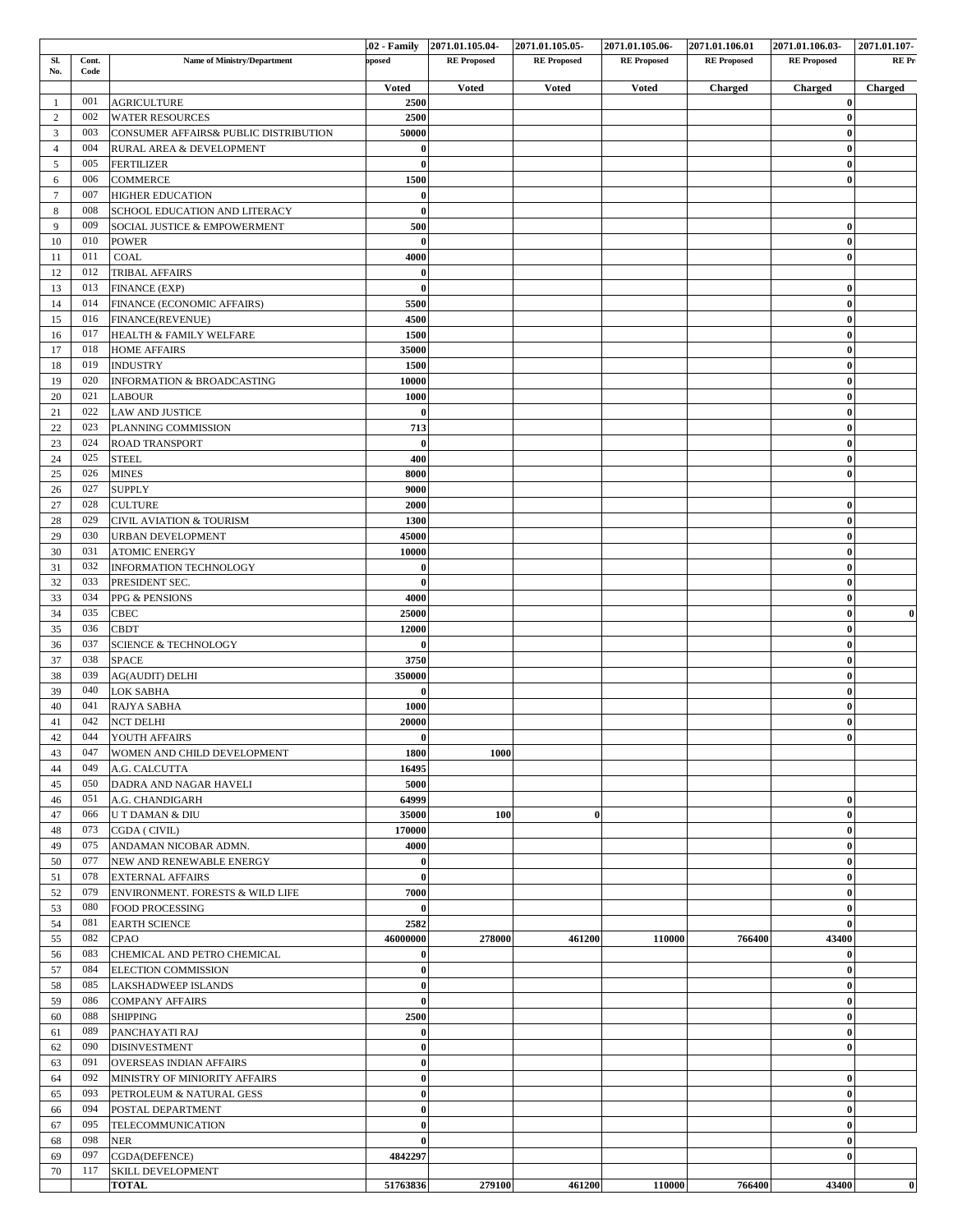|                     |               |                                                                   |                          | 02 Family 2071.01.105.04 | 2071.01.105.05     | 2071.01.105.06     | 2071.01.106.01     | 2071.01.106.03-         | 2071.01.107- |
|---------------------|---------------|-------------------------------------------------------------------|--------------------------|--------------------------|--------------------|--------------------|--------------------|-------------------------|--------------|
| SI.<br>No.          | Cont.<br>Code | Name of Ministry/Department                                       | posed                    | <b>RE</b> Proposed       | <b>RE</b> Proposed | <b>RE</b> Proposed | <b>RE</b> Proposed | <b>RE</b> Proposed      | REPr         |
|                     |               |                                                                   | <b>Voted</b>             | <b>Voted</b>             | <b>Voted</b>       | <b>Voted</b>       | Charged            | <b>Charged</b>          | Charged      |
| $\mathbf{1}$        | 001           | <b>AGRICULTURE</b>                                                | 2500                     |                          |                    |                    |                    | $\bf{0}$                |              |
| $\overline{c}$      | 002<br>003    | <b>WATER RESOURCES</b>                                            | 2500                     |                          |                    |                    |                    | $\theta$                |              |
| 3<br>$\overline{4}$ | 004           | CONSUMER AFFAIRS& PUBLIC DISTRIBUTION<br>RURAL AREA & DEVELOPMENT | 50000<br>$\mathbf{0}$    |                          |                    |                    |                    | $\bf{0}$<br>$\theta$    |              |
| 5                   | 005           | <b>FERTILIZER</b>                                                 | $\mathbf{0}$             |                          |                    |                    |                    | $\bf{0}$                |              |
| 6                   | 006           | <b>COMMERCE</b>                                                   | 1500                     |                          |                    |                    |                    | $\theta$                |              |
| $7\phantom{.0}$     | 007           | <b>HIGHER EDUCATION</b>                                           | $\bf{0}$                 |                          |                    |                    |                    |                         |              |
| 8                   | 008           | SCHOOL EDUCATION AND LITERACY                                     | $\bf{0}$                 |                          |                    |                    |                    |                         |              |
| 9                   | 009           | SOCIAL JUSTICE & EMPOWERMENT                                      | 500                      |                          |                    |                    |                    | $\theta$                |              |
| 10                  | 010           | <b>POWER</b>                                                      | $\mathbf{0}$             |                          |                    |                    |                    | $\bf{0}$                |              |
| 11                  | 011           | COAL                                                              | 4000                     |                          |                    |                    |                    | $\bf{0}$                |              |
| 12                  | 012           | <b>TRIBAL AFFAIRS</b>                                             | -0                       |                          |                    |                    |                    |                         |              |
| 13                  | 013           | <b>FINANCE (EXP)</b>                                              | -0                       |                          |                    |                    |                    | $\bf{0}$                |              |
| 14                  | 014           | FINANCE (ECONOMIC AFFAIRS)                                        | 5500                     |                          |                    |                    |                    | $\bf{0}$                |              |
| 15                  | 016           | FINANCE(REVENUE)                                                  | 4500                     |                          |                    |                    |                    | $\mathbf{0}$            |              |
| 16                  | 017<br>018    | HEALTH & FAMILY WELFARE                                           | 1500                     |                          |                    |                    |                    | $\bf{0}$<br>$\bf{0}$    |              |
| 17<br>18            | 019           | <b>HOME AFFAIRS</b><br><b>INDUSTRY</b>                            | 35000<br>1500            |                          |                    |                    |                    | $\sqrt{ }$              |              |
| 19                  | 020           | INFORMATION & BROADCASTING                                        | 10000                    |                          |                    |                    |                    | $\bf{0}$                |              |
| 20                  | 021           | <b>LABOUR</b>                                                     | 1000                     |                          |                    |                    |                    | $\bf{0}$                |              |
| 21                  | 022           | <b>LAW AND JUSTICE</b>                                            | -0                       |                          |                    |                    |                    | $\bf{0}$                |              |
| 22                  | 023           | PLANNING COMMISSION                                               | 713                      |                          |                    |                    |                    | $\bf{0}$                |              |
| 23                  | 024           | ROAD TRANSPORT                                                    | $\bf{0}$                 |                          |                    |                    |                    | $\bf{0}$                |              |
| 24                  | 025           | <b>STEEL</b>                                                      | 400                      |                          |                    |                    |                    | -0                      |              |
| 25                  | 026           | <b>MINES</b>                                                      | 8000                     |                          |                    |                    |                    | $\bf{0}$                |              |
| 26                  | 027           | <b>SUPPLY</b>                                                     | 9000                     |                          |                    |                    |                    |                         |              |
| 27                  | 028           | <b>CULTURE</b>                                                    | 2000                     |                          |                    |                    |                    | $\bf{0}$                |              |
| 28                  | 029           | <b>CIVIL AVIATION &amp; TOURISM</b>                               | 1300                     |                          |                    |                    |                    | $\bf{0}$                |              |
| 29                  | 030           | <b>URBAN DEVELOPMENT</b>                                          | 45000                    |                          |                    |                    |                    | $\bf{0}$                |              |
| 30                  | 031           | <b>ATOMIC ENERGY</b>                                              | 10000                    |                          |                    |                    |                    | $\mathbf 0$             |              |
| 31<br>32            | 032<br>033    | <b>INFORMATION TECHNOLOGY</b>                                     | $\bf{0}$<br>$\mathbf{0}$ |                          |                    |                    |                    | $\bf{0}$                |              |
| 33                  | 034           | PRESIDENT SEC.<br>PPG & PENSIONS                                  | 4000                     |                          |                    |                    |                    | $\bf{0}$<br>$\mathbf 0$ |              |
| 34                  | 035           | <b>CBEC</b>                                                       | 25000                    |                          |                    |                    |                    | $\theta$                |              |
| 35                  | 036           | <b>CBDT</b>                                                       | 12000                    |                          |                    |                    |                    | $\bf{0}$                |              |
| 36                  | 037           | <b>SCIENCE &amp; TECHNOLOGY</b>                                   | -0                       |                          |                    |                    |                    | $\mathbf 0$             |              |
| 37                  | 038           | <b>SPACE</b>                                                      | 3750                     |                          |                    |                    |                    | $\theta$                |              |
| 38                  | 039           | <b>AG(AUDIT) DELHI</b>                                            | 350000                   |                          |                    |                    |                    | $\bf{0}$                |              |
| 39                  | 040           | <b>LOK SABHA</b>                                                  | $\mathbf{0}$             |                          |                    |                    |                    | $\mathbf 0$             |              |
| 40                  | 041           | RAJYA SABHA                                                       | 1000                     |                          |                    |                    |                    | $\theta$                |              |
| 41                  | 042           | <b>NCT DELHI</b>                                                  | 20000                    |                          |                    |                    |                    | $\bf{0}$                |              |
| $42\,$              |               | 044 YOUTH AFFAIRS                                                 | $\bf{0}$                 |                          |                    |                    |                    |                         |              |
| 43                  | 047           | WOMEN AND CHILD DEVELOPMENT                                       | 1800                     | 1000                     |                    |                    |                    |                         |              |
| 44                  | 049           | A.G. CALCUTTA                                                     | 16495                    |                          |                    |                    |                    |                         |              |
| 45<br>46            | 050<br>051    | DADRA AND NAGAR HAVELI<br>A.G. CHANDIGARH                         | 5000<br>64999            |                          |                    |                    |                    | $\bf{0}$                |              |
| 47                  | 066           | U T DAMAN & DIU                                                   | 35000                    | 100                      | 0                  |                    |                    | $\bf{0}$                |              |
| 48                  | 073           | CGDA (CIVIL)                                                      | 170000                   |                          |                    |                    |                    | $\bf{0}$                |              |
| 49                  | 075           | ANDAMAN NICOBAR ADMN.                                             | 4000                     |                          |                    |                    |                    | $\mathbf 0$             |              |
| 50                  | 077           | NEW AND RENEWABLE ENERGY                                          | $\bf{0}$                 |                          |                    |                    |                    | $\boldsymbol{0}$        |              |
| 51                  | 078           | <b>EXTERNAL AFFAIRS</b>                                           | $\bf{0}$                 |                          |                    |                    |                    | $\bf{0}$                |              |
| 52                  | 079           | ENVIRONMENT. FORESTS & WILD LIFE                                  | 7000                     |                          |                    |                    |                    | $\mathbf 0$             |              |
| 53                  | 080           | FOOD PROCESSING                                                   | $\bf{0}$                 |                          |                    |                    |                    | $\bf{0}$                |              |
| 54                  | 081           | <b>EARTH SCIENCE</b>                                              | 2582                     |                          |                    |                    |                    | $\theta$                |              |
| 55                  | 082           | CPAO                                                              | 46000000                 | 278000                   | 461200             | 110000             | 766400             | 43400                   |              |
| 56                  | 083           | CHEMICAL AND PETRO CHEMICAL                                       | $\bf{0}$                 |                          |                    |                    |                    | $\bf{0}$                |              |
| 57                  | 084           | ELECTION COMMISSION                                               | $\bf{0}$                 |                          |                    |                    |                    | $\mathbf{0}$            |              |
| 58<br>59            | 085<br>086    | <b>LAKSHADWEEP ISLANDS</b>                                        | $\bf{0}$<br>$\bf{0}$     |                          |                    |                    |                    | $\mathbf 0$             |              |
| 60                  | 088           | <b>COMPANY AFFAIRS</b><br>SHIPPING                                | 2500                     |                          |                    |                    |                    | $\bf{0}$<br>$\bf{0}$    |              |
| 61                  | 089           | PANCHAYATI RAJ                                                    | $\bf{0}$                 |                          |                    |                    |                    | $\bf{0}$                |              |
| 62                  | 090           | <b>DISINVESTMENT</b>                                              | $\mathbf{0}$             |                          |                    |                    |                    | $\mathbf{0}$            |              |
| 63                  | 091           | OVERSEAS INDIAN AFFAIRS                                           | $\bf{0}$                 |                          |                    |                    |                    |                         |              |
| 64                  | 092           | MINISTRY OF MINIORITY AFFAIRS                                     | $\bf{0}$                 |                          |                    |                    |                    | $\bf{0}$                |              |
| 65                  | 093           | PETROLEUM & NATURAL GESS                                          | $\mathbf{0}$             |                          |                    |                    |                    | $\bf{0}$                |              |
| 66                  | 094           | POSTAL DEPARTMENT                                                 | $\bf{0}$                 |                          |                    |                    |                    | $\bf{0}$                |              |
| 67                  | 095           | TELECOMMUNICATION                                                 | $\bf{0}$                 |                          |                    |                    |                    | $\bf{0}$                |              |
| 68                  | 098           | NER                                                               | $\theta$                 |                          |                    |                    |                    | $\theta$                |              |
| 69                  | 097           | CGDA(DEFENCE)                                                     | 4842297                  |                          |                    |                    |                    | $\bf{0}$                |              |
| 70                  | 117           | SKILL DEVELOPMENT                                                 |                          |                          |                    |                    |                    |                         |              |
|                     |               | <b>TOTAL</b>                                                      | 51763836                 | 279100                   | 461200             | 110000             | 766400             | 43400                   | $\bf{0}$     |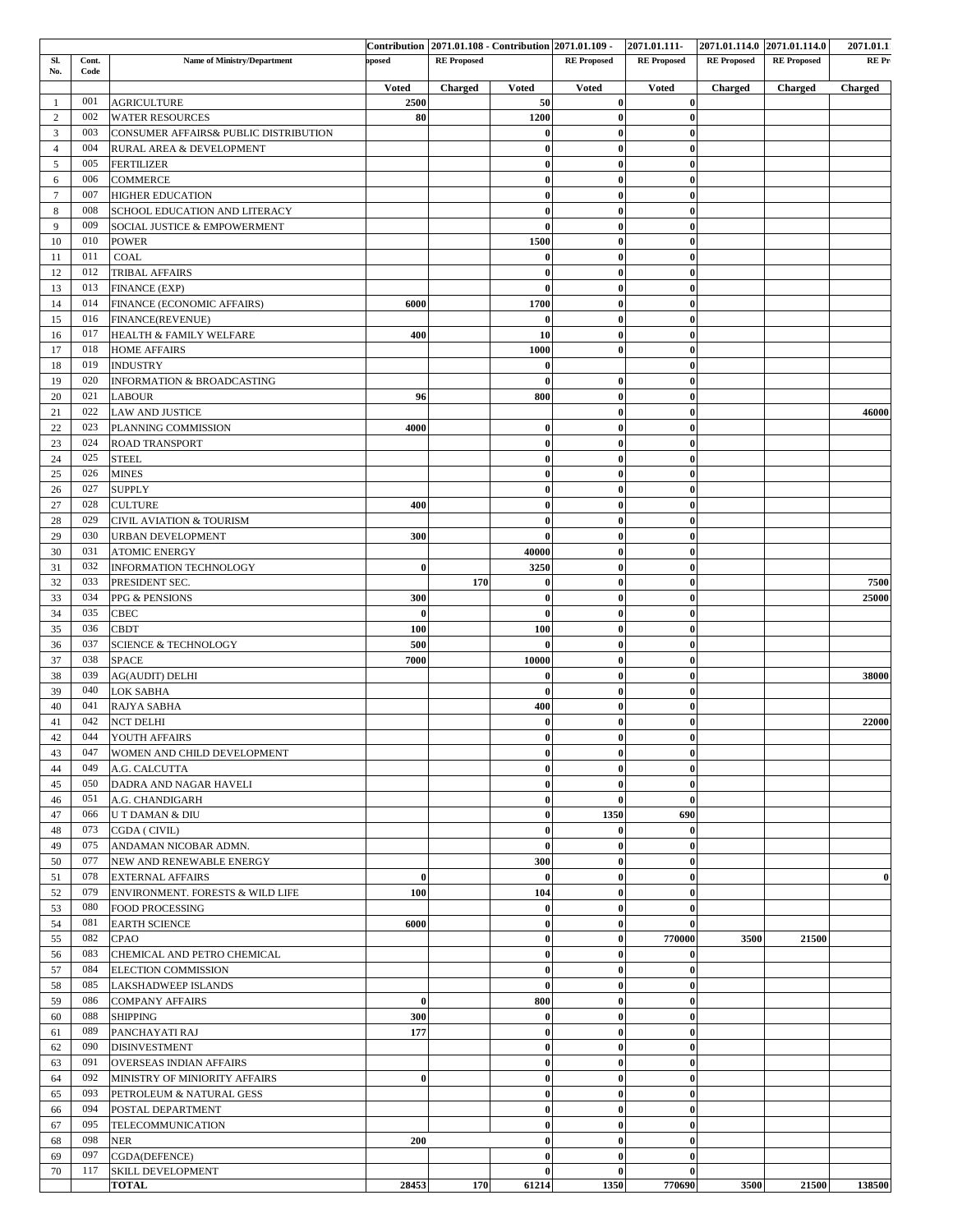|                |               |                                       |              |                    |              | Contribution 2071.01.108 Contribution 2071.01.109 | 2071.01.111        | 2071.01.114.0 2071.01.114.0 |                    | 2071.01.1 |
|----------------|---------------|---------------------------------------|--------------|--------------------|--------------|---------------------------------------------------|--------------------|-----------------------------|--------------------|-----------|
| SI.<br>No.     | Cont.<br>Code | Name of Ministry/Department           | oposed       | <b>RE</b> Proposed |              | <b>RE</b> Proposed                                | <b>RE</b> Proposed | <b>RE</b> Proposed          | <b>RE</b> Proposed | RE Pr     |
|                |               |                                       | <b>Voted</b> | <b>Charged</b>     | <b>Voted</b> | <b>Voted</b>                                      | <b>Voted</b>       | Charged                     | Charged            | Charged   |
| $\mathbf{1}$   | 001           | <b>AGRICULTURE</b>                    | 2500         |                    | 50           | $\bf{0}$                                          | $\bf{0}$           |                             |                    |           |
| $\overline{c}$ | 002           | <b>WATER RESOURCES</b>                | 80           |                    | 1200         | $\bf{0}$                                          | $\bf{0}$           |                             |                    |           |
| 3              | 003           | CONSUMER AFFAIRS& PUBLIC DISTRIBUTION |              |                    | $\bf{0}$     | $\bf{0}$                                          | $\bf{0}$           |                             |                    |           |
| $\overline{4}$ | 004           | RURAL AREA & DEVELOPMENT              |              |                    | $\bf{0}$     | $\bf{0}$                                          | $\bf{0}$           |                             |                    |           |
| 5              | 005           | <b>FERTILIZER</b>                     |              |                    | $\bf{0}$     | $\bf{0}$                                          | $\bf{0}$           |                             |                    |           |
| 6              | 006           | <b>COMMERCE</b>                       |              |                    | $\bf{0}$     | $\bf{0}$                                          | $\bf{0}$           |                             |                    |           |
| $\overline{7}$ | 007           | <b>HIGHER EDUCATION</b>               |              |                    | $\bf{0}$     | $\bf{0}$                                          | $\bf{0}$           |                             |                    |           |
| 8              | 008           | SCHOOL EDUCATION AND LITERACY         |              |                    | $\bf{0}$     | $\bf{0}$                                          | $\bf{0}$           |                             |                    |           |
| 9              | 009           | SOCIAL JUSTICE & EMPOWERMENT          |              |                    | $\bf{0}$     | $\bf{0}$                                          | $\bf{0}$           |                             |                    |           |
| 10             | 010           | <b>POWER</b>                          |              |                    | 1500         | $\bf{0}$                                          | $\bf{0}$           |                             |                    |           |
| 11             | 011           | COAL                                  |              |                    | $\bf{0}$     | $\bf{0}$                                          | $\bf{0}$           |                             |                    |           |
| 12             | 012           | <b>TRIBAL AFFAIRS</b>                 |              |                    | $\bf{0}$     | $\bf{0}$                                          | $\bf{0}$           |                             |                    |           |
| 13             | 013           | <b>FINANCE (EXP)</b>                  |              |                    | $\bf{0}$     | $\bf{0}$                                          | $\bf{0}$           |                             |                    |           |
| 14             | 014           | FINANCE (ECONOMIC AFFAIRS)            | 6000         |                    | 1700         | $\bf{0}$                                          | $\bf{0}$           |                             |                    |           |
| 15             | 016           | FINANCE(REVENUE)                      |              |                    | $\bf{0}$     | $\bf{0}$                                          | $\bf{0}$           |                             |                    |           |
| 16             | 017           | HEALTH & FAMILY WELFARE               | 400          |                    | 10           | $\bf{0}$                                          | $\bf{0}$           |                             |                    |           |
| 17             | 018           | <b>HOME AFFAIRS</b>                   |              |                    | 1000         | $\bf{0}$                                          | $\bf{0}$           |                             |                    |           |
| 18             | 019           | <b>INDUSTRY</b>                       |              |                    | $\bf{0}$     |                                                   | $\bf{0}$           |                             |                    |           |
| 19             | 020           | <b>INFORMATION &amp; BROADCASTING</b> |              |                    | $\bf{0}$     | $\bf{0}$                                          | $\bf{0}$           |                             |                    |           |
| 20             | 021           | <b>LABOUR</b>                         | 96           |                    | 800          | $\bf{0}$                                          | $\bf{0}$           |                             |                    |           |
| 21             | 022           | <b>LAW AND JUSTICE</b>                |              |                    |              | $\bf{0}$                                          | $\bf{0}$           |                             |                    | 46000     |
| 22             | 023           | PLANNING COMMISSION                   | 4000         |                    | $\bf{0}$     | $\bf{0}$                                          | $\bf{0}$           |                             |                    |           |
| 23             | 024           | <b>ROAD TRANSPORT</b>                 |              |                    | $\bf{0}$     | $\bf{0}$                                          | $\bf{0}$           |                             |                    |           |
| 24             | 025           | <b>STEEL</b>                          |              |                    | $\bf{0}$     | $\bf{0}$                                          | $\bf{0}$           |                             |                    |           |
| 25             | 026           | <b>MINES</b>                          |              |                    | $\bf{0}$     | $\bf{0}$                                          | $\bf{0}$           |                             |                    |           |
| 26             | 027           | <b>SUPPLY</b>                         |              |                    | $\bf{0}$     | $\bf{0}$                                          | $\bf{0}$           |                             |                    |           |
| 27             | 028           | <b>CULTURE</b>                        | 400          |                    | $\bf{0}$     | $\bf{0}$                                          | $\bf{0}$           |                             |                    |           |
| 28             | 029           | <b>CIVIL AVIATION &amp; TOURISM</b>   |              |                    | $\bf{0}$     | $\bf{0}$                                          | $\bf{0}$           |                             |                    |           |
| 29             | 030           |                                       | 300          |                    | $\bf{0}$     | $\bf{0}$                                          | $\bf{0}$           |                             |                    |           |
| 30             | 031           | URBAN DEVELOPMENT                     |              |                    | 40000        | $\bf{0}$                                          | $\bf{0}$           |                             |                    |           |
|                |               | <b>ATOMIC ENERGY</b>                  |              |                    |              |                                                   |                    |                             |                    |           |
| 31             | 032           | <b>INFORMATION TECHNOLOGY</b>         | $\bf{0}$     |                    | 3250         | $\bf{0}$                                          | $\bf{0}$           |                             |                    |           |
| 32             | 033           | PRESIDENT SEC.                        |              | 170                | $\bf{0}$     | $\bf{0}$                                          | $\bf{0}$           |                             |                    | 7500      |
| 33             | 034           | PPG & PENSIONS                        | 300          |                    | $\bf{0}$     | $\bf{0}$                                          | $\bf{0}$           |                             |                    | 25000     |
| 34             | 035           | <b>CBEC</b>                           | $\bf{0}$     |                    | $\bf{0}$     | $\bf{0}$                                          | $\bf{0}$           |                             |                    |           |
| 35             | 036           | CBDT                                  | 100          |                    | 100          | $\bf{0}$                                          | $\bf{0}$           |                             |                    |           |
| 36             | 037           | <b>SCIENCE &amp; TECHNOLOGY</b>       | 500          |                    | $\bf{0}$     | $\bf{0}$                                          | $\bf{0}$           |                             |                    |           |
| 37             | 038           | <b>SPACE</b>                          | 7000         |                    | 10000        | $\bf{0}$                                          | $\bf{0}$           |                             |                    |           |
| 38             | 039           | <b>AG(AUDIT) DELHI</b>                |              |                    | $\bf{0}$     | $\bf{0}$                                          | $\bf{0}$           |                             |                    | 38000     |
| 39             | 040           | <b>LOK SABHA</b>                      |              |                    | $\bf{0}$     | $\bf{0}$                                          | $\bf{0}$           |                             |                    |           |
| 40             | 041           | <b>RAJYA SABHA</b>                    |              |                    | 400          | $\bf{0}$                                          | $\bf{0}$           |                             |                    |           |
| 41             | 042           | <b>NCT DELHI</b>                      |              |                    | $\bf{0}$     | $\bf{0}$                                          | $\bf{0}$           |                             |                    | 22000     |
| 42             |               | 044 YOUTH AFFAIRS                     |              |                    | $\bf{0}$     | $\mathbf{0}$                                      | $\bf{0}$           |                             |                    |           |
| 43             | 047           | WOMEN AND CHILD DEVELOPMENT           |              |                    | $\bf{0}$     | $\bf{0}$                                          | $\bf{0}$           |                             |                    |           |
| 44             | 049           | A.G. CALCUTTA                         |              |                    | $\bf{0}$     | $\bf{0}$                                          | $\bf{0}$           |                             |                    |           |
| 45             | 050           | DADRA AND NAGAR HAVELI                |              |                    | $\bf{0}$     | $\bf{0}$                                          | $\bf{0}$           |                             |                    |           |
| 46             | 051           | A.G. CHANDIGARH                       |              |                    | $\bf{0}$     | $\bf{0}$                                          | $\bf{0}$           |                             |                    |           |
| 47             | 066           | U T DAMAN & DIU                       |              |                    | $\bf{0}$     | 1350                                              | 690                |                             |                    |           |
| 48             | 073           | CGDA ( CIVIL)                         |              |                    | $\bf{0}$     | 0                                                 | $\bf{0}$           |                             |                    |           |
| 49             | 075           | ANDAMAN NICOBAR ADMN.                 |              |                    | $\bf{0}$     | $\bf{0}$                                          | $\bf{0}$           |                             |                    |           |
| 50             | 077           | NEW AND RENEWABLE ENERGY              |              |                    | 300          | $\bf{0}$                                          | $\bf{0}$           |                             |                    |           |
| 51             | 078           | <b>EXTERNAL AFFAIRS</b>               | $\bf{0}$     |                    | $\bf{0}$     | $\bf{0}$                                          | $\bf{0}$           |                             |                    | -0        |
| 52             | 079           | ENVIRONMENT. FORESTS & WILD LIFE      | 100          |                    | 104          | $\bf{0}$                                          | $\bf{0}$           |                             |                    |           |
| 53             | 080           | FOOD PROCESSING                       |              |                    | $\bf{0}$     | $\bf{0}$                                          | $\bf{0}$           |                             |                    |           |
| 54             | 081           | <b>EARTH SCIENCE</b>                  | 6000         |                    | $\bf{0}$     | $\bf{0}$                                          | $\bf{0}$           |                             |                    |           |
| 55             | 082           | CPAO                                  |              |                    | $\bf{0}$     | $\bf{0}$                                          | 770000             | 3500                        | 21500              |           |
| 56             | 083           | CHEMICAL AND PETRO CHEMICAL           |              |                    | $\bf{0}$     | $\bf{0}$                                          | $\bf{0}$           |                             |                    |           |
| 57             | 084           | ELECTION COMMISSION                   |              |                    | $\bf{0}$     | $\bf{0}$                                          | $\bf{0}$           |                             |                    |           |
| 58             | 085           | LAKSHADWEEP ISLANDS                   |              |                    | $\bf{0}$     | $\bf{0}$                                          | $\bf{0}$           |                             |                    |           |
| 59             | 086           | <b>COMPANY AFFAIRS</b>                | $\bf{0}$     |                    | 800          | $\bf{0}$                                          | $\bf{0}$           |                             |                    |           |
| 60             | 088           | SHIPPING                              | 300          |                    | $\bf{0}$     | $\bf{0}$                                          | $\bf{0}$           |                             |                    |           |
| 61             | 089           | PANCHAYATI RAJ                        | 177          |                    | $\bf{0}$     | $\bf{0}$                                          | $\bf{0}$           |                             |                    |           |
| 62             | 090           | <b>DISINVESTMENT</b>                  |              |                    | $\bf{0}$     | $\bf{0}$                                          | $\bf{0}$           |                             |                    |           |
| 63             | 091           | <b>OVERSEAS INDIAN AFFAIRS</b>        |              |                    | $\bf{0}$     | $\bf{0}$                                          | $\bf{0}$           |                             |                    |           |
| 64             | 092           | MINISTRY OF MINIORITY AFFAIRS         | $\bf{0}$     |                    | $\bf{0}$     | $\bf{0}$                                          | $\bf{0}$           |                             |                    |           |
| 65             | 093           | PETROLEUM & NATURAL GESS              |              |                    | $\bf{0}$     | $\bf{0}$                                          | $\bf{0}$           |                             |                    |           |
| 66             | 094           | POSTAL DEPARTMENT                     |              |                    | $\bf{0}$     | $\bf{0}$                                          | $\bf{0}$           |                             |                    |           |
| 67             | 095           | TELECOMMUNICATION                     |              |                    | $\bf{0}$     | $\bf{0}$                                          | $\bf{0}$           |                             |                    |           |
| 68             | 098           | <b>NER</b>                            | 200          |                    | $\bf{0}$     | $\bf{0}$                                          | $\bf{0}$           |                             |                    |           |
| 69             | 097           | CGDA(DEFENCE)                         |              |                    | $\bf{0}$     | $\bf{0}$                                          | $\bf{0}$           |                             |                    |           |
| 70             | 117           | SKILL DEVELOPMENT                     |              |                    | $\bf{0}$     | 0                                                 | $\bf{0}$           |                             |                    |           |
|                |               | <b>TOTAL</b>                          | 28453        | 170                | 61214        | 1350                                              | 770690             | 3500                        | 21500              | 138500    |
|                |               |                                       |              |                    |              |                                                   |                    |                             |                    |           |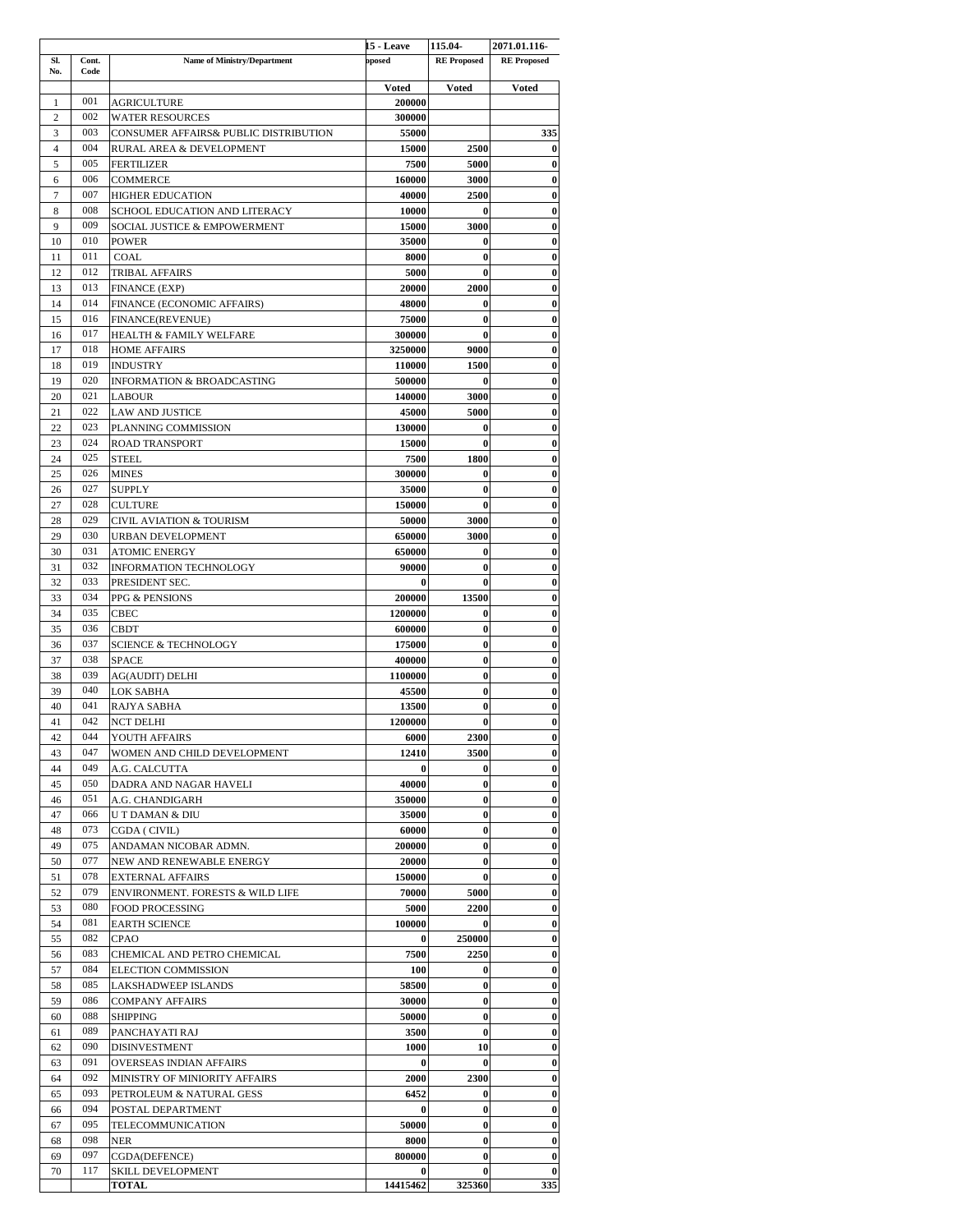|                |               |                                                    | 15 - Leave         | 115.04             | 2071.01.116-                         |
|----------------|---------------|----------------------------------------------------|--------------------|--------------------|--------------------------------------|
| SI.<br>No.     | Cont.<br>Code | <b>Name of Ministry/Department</b>                 | posed              | <b>RE</b> Proposed | <b>RE</b> Proposed                   |
|                |               |                                                    | Voted              | Voted              | <b>Voted</b>                         |
| 1              | 001           | <b>AGRICULTURE</b>                                 | 200000             |                    |                                      |
| 2              | 002           | <b>WATER RESOURCES</b>                             | 300000             |                    |                                      |
| 3              | 003           | CONSUMER AFFAIRS& PUBLIC DISTRIBUTION              | 55000              |                    | 335                                  |
| $\overline{4}$ | 004           | RURAL AREA & DEVELOPMENT                           | 15000              | 2500               | $\bf{0}$                             |
| 5              | 005           | <b>FERTILIZER</b>                                  | 7500               | 5000               | $\bf{0}$                             |
| 6              | 006           | COMMERCE                                           | 160000             | 3000               | $\bf{0}$                             |
| $\overline{7}$ | 007           | <b>HIGHER EDUCATION</b>                            | 40000              | 2500               | $\boldsymbol{0}$                     |
| 8<br>9         | 008<br>009    | SCHOOL EDUCATION AND LITERACY                      | 10000              | 0<br>3000          | $\bf{0}$<br>$\bf{0}$                 |
| 10             | 010           | SOCIAL JUSTICE & EMPOWERMENT<br><b>POWER</b>       | 15000<br>35000     | 0                  | $\boldsymbol{0}$                     |
| 11             | 011           | <b>COAL</b>                                        | 8000               | $\bf{0}$           | $\boldsymbol{0}$                     |
| 12             | 012           | <b>TRIBAL AFFAIRS</b>                              | 5000               | $\bf{0}$           | $\bf{0}$                             |
| 13             | 013           | <b>FINANCE (EXP)</b>                               | 20000              | 2000               | 0                                    |
| 14             | 014           | FINANCE (ECONOMIC AFFAIRS)                         | 48000              | $\bf{0}$           | $\pmb{0}$                            |
| 15             | 016           | FINANCE(REVENUE)                                   | 75000              | $\bf{0}$           | $\bf{0}$                             |
| 16             | 017           | <b>HEALTH &amp; FAMILY WELFARE</b>                 | 300000             | 0                  | 0                                    |
| 17             | 018           | <b>HOME AFFAIRS</b>                                | 3250000            | 9000               | $\pmb{0}$                            |
| 18             | 019           | INDUSTRY                                           | 110000             | 1500               | $\bf{0}$                             |
| 19             | 020<br>021    | <b>INFORMATION &amp; BROADCASTING</b>              | 500000             | $\bf{0}$           | $\bf{0}$                             |
| 20<br>21       | 022           | <b>LABOUR</b><br>LAW AND JUSTICE                   | 140000<br>45000    | 3000<br>5000       | $\pmb{0}$<br>$\bf{0}$                |
| 22             | 023           | PLANNING COMMISSION                                | 130000             | 0                  | 0                                    |
| 23             | 024           | ROAD TRANSPORT                                     | 15000              | $\bf{0}$           | $\bf{0}$                             |
| 24             | 025           | <b>STEEL</b>                                       | 7500               | 1800               | $\bf{0}$                             |
| 25             | 026           | <b>MINES</b>                                       | 300000             | 0                  | $\boldsymbol{0}$                     |
| 26             | 027           | <b>SUPPLY</b>                                      | 35000              | $\bf{0}$           | $\pmb{0}$                            |
| 27             | 028           | CULTURE                                            | 150000             | $\bf{0}$           | $\bf{0}$                             |
| 28             | 029           | CIVIL AVIATION & TOURISM                           | 50000              | 3000               | $\boldsymbol{0}$                     |
| 29             | 030           | URBAN DEVELOPMENT                                  | 650000             | 3000               | $\pmb{0}$                            |
| 30             | 031           | ATOMIC ENERGY                                      | 650000             | $\bf{0}$           | $\bf{0}$                             |
| 31             | 032           | INFORMATION TECHNOLOGY                             | 90000              | $\bf{0}$           | $\boldsymbol{0}$                     |
| 32<br>33       | 033<br>034    | PRESIDENT SEC.<br>PPG & PENSIONS                   | $\bf{0}$<br>200000 | $\bf{0}$<br>13500  | $\boldsymbol{0}$<br>$\bf{0}$         |
| 34             | 035           | CBEC                                               | 1200000            | $\bf{0}$           | $\bf{0}$                             |
| 35             | 036           | CBDT                                               | 600000             | 0                  | 0                                    |
| 36             | 037           | <b>SCIENCE &amp; TECHNOLOGY</b>                    | 175000             | 0                  | $\boldsymbol{0}$                     |
| 37             | 038           | <b>SPACE</b>                                       | 400000             | $\bf{0}$           | $\bf{0}$                             |
| 38             | 039           | <b>AG(AUDIT) DELHI</b>                             | 1100000            | $\bf{0}$           | $\boldsymbol{0}$                     |
| 39             | 040           | LOK SABHA                                          | 45500              | $\bf{0}$           | $\pmb{0}$                            |
| 40             | 041           | RAJYA SABHA                                        | 13500              | $\bf{0}$           | $\bf{0}$                             |
| 41             | 042           | <b>NCT DELHI</b>                                   | 1200000            | $\bf{0}$           | $\bf{0}$                             |
| 42<br>43       | 044<br>047    | YOUTH AFFAIRS                                      | 6000<br>12410      | 2300<br>3500       | $\pmb{0}$<br>$\bf{0}$                |
| 44             | 049           | WOMEN AND CHILD DEVELOPMENT<br>A.G. CALCUTTA       | 0                  | 0                  | 0                                    |
| 45             | 050           | DADRA AND NAGAR HAVELI                             | 40000              | $\bf{0}$           | $\pmb{0}$                            |
| 46             | 051           | A.G. CHANDIGARH                                    | 350000             | 0                  | $\bf{0}$                             |
| 47             | 066           | U T DAMAN & DIU                                    | 35000              | $\bf{0}$           | $\bf{0}$                             |
| 48             | 073           | CGDA (CIVIL)                                       | 60000              | 0                  | $\boldsymbol{0}$                     |
| 49             | 075           | ANDAMAN NICOBAR ADMN.                              | 200000             | 0                  | $\bf{0}$                             |
| 50             | 077           | NEW AND RENEWABLE ENERGY                           | 20000              | $\bf{0}$           | $\boldsymbol{0}$                     |
| 51             | 078           | <b>EXTERNAL AFFAIRS</b>                            | 150000             | $\bf{0}$           | $\boldsymbol{0}$                     |
| 52             | 079           | ENVIRONMENT. FORESTS & WILD LIFE                   | 70000              | 5000               | $\bf{0}$                             |
| 53             | 080           | FOOD PROCESSING                                    | 5000               | 2200               | $\boldsymbol{0}$                     |
| 54             | 081<br>082    | <b>EARTH SCIENCE</b>                               | 100000             | 0                  | $\boldsymbol{0}$                     |
| 55             | 083           | <b>CPAO</b>                                        | 0                  | 250000<br>2250     | $\bf{0}$                             |
| 56<br>57       | 084           | CHEMICAL AND PETRO CHEMICAL<br>ELECTION COMMISSION | 7500<br>100        | $\bf{0}$           | $\boldsymbol{0}$<br>$\boldsymbol{0}$ |
| 58             | 085           | LAKSHADWEEP ISLANDS                                | 58500              | $\bf{0}$           | $\bf{0}$                             |
| 59             | 086           | <b>COMPANY AFFAIRS</b>                             | 30000              | $\bf{0}$           | $\bf{0}$                             |
| 60             | 088           | SHIPPING                                           | 50000              | 0                  | $\boldsymbol{0}$                     |
| 61             | 089           | PANCHAYATI RAJ                                     | 3500               | $\bf{0}$           | $\bf{0}$                             |
| 62             | 090           | <b>DISINVESTMENT</b>                               | 1000               | 10                 | $\bf{0}$                             |
| 63             | 091           | OVERSEAS INDIAN AFFAIRS                            | $\bf{0}$           | 0                  | $\boldsymbol{0}$                     |
| 64             | 092           | MINISTRY OF MINIORITY AFFAIRS                      | 2000               | 2300               | $\bf{0}$                             |
| 65             | 093           | PETROLEUM & NATURAL GESS                           | 6452               | $\bf{0}$           | $\bf{0}$                             |
| 66             | 094           | POSTAL DEPARTMENT                                  | 0                  | 0                  | 0                                    |
| 67             | 095           | TELECOMMUNICATION                                  | 50000              | $\bf{0}$           | $\pmb{0}$                            |
| 68             | 098<br>097    | NER                                                | 8000               | $\bf{0}$           | $\bf{0}$                             |
| 69             | 117           | CGDA(DEFENCE)                                      | 800000<br>$\bf{0}$ | 0<br>$\bf{0}$      | $\bf{0}$<br>$\bf{0}$                 |
| 70             |               | SKILL DEVELOPMENT<br><b>TOTAL</b>                  | 14415462           | 325360             | 335                                  |
|                |               |                                                    |                    |                    |                                      |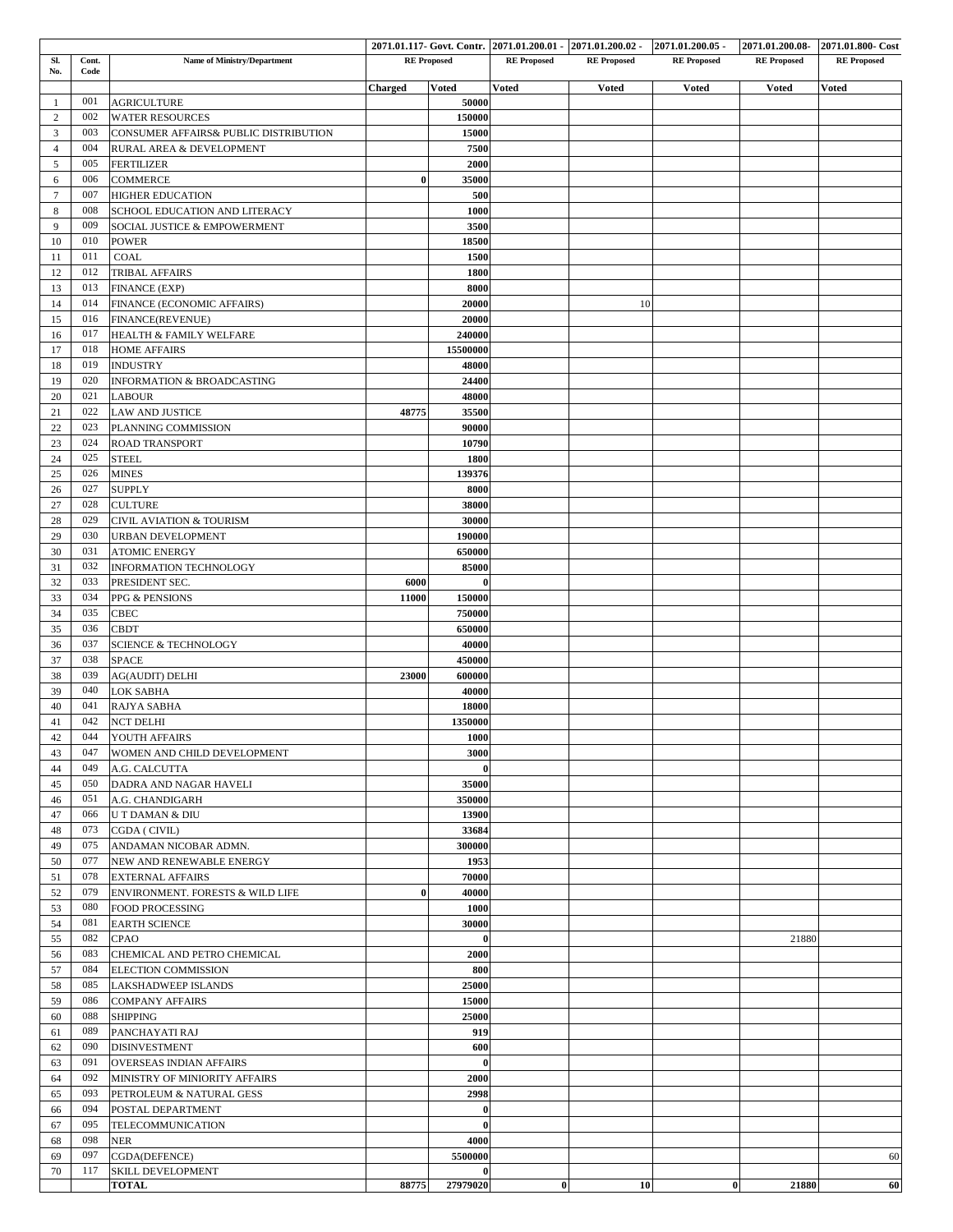|                |       |                                             |          |                    |                    | 2071.01.117- Govt. Contr. 2071.01.200.01 - 2071.01.200.02 - 2071.01.200.05 - |                    |                    | 2071.01.200.08 2071.01.800 Cost |
|----------------|-------|---------------------------------------------|----------|--------------------|--------------------|------------------------------------------------------------------------------|--------------------|--------------------|---------------------------------|
| SI.            | Cont. | <b>Name of Ministry/Department</b>          |          | <b>RE</b> Proposed | <b>RE</b> Proposed | <b>RE</b> Proposed                                                           | <b>RE</b> Proposed | <b>RE Proposed</b> | <b>RE</b> Proposed              |
| No.            | Code  |                                             |          |                    |                    |                                                                              |                    |                    |                                 |
|                |       |                                             | Charged  | <b>Voted</b>       | <b>Voted</b>       | <b>Voted</b>                                                                 | <b>Voted</b>       | <b>Voted</b>       | <b>Voted</b>                    |
| 1              | 001   | <b>AGRICULTURE</b>                          |          | 50000              |                    |                                                                              |                    |                    |                                 |
| $\overline{2}$ | 002   | <b>WATER RESOURCES</b>                      |          | 150000             |                    |                                                                              |                    |                    |                                 |
| 3              | 003   | CONSUMER AFFAIRS& PUBLIC DISTRIBUTION       |          | 15000              |                    |                                                                              |                    |                    |                                 |
|                | 004   |                                             |          |                    |                    |                                                                              |                    |                    |                                 |
| $\overline{4}$ |       | RURAL AREA & DEVELOPMENT                    |          | 7500               |                    |                                                                              |                    |                    |                                 |
| 5              | 005   | <b>FERTILIZER</b>                           |          | 2000               |                    |                                                                              |                    |                    |                                 |
| 6              | 006   | <b>COMMERCE</b>                             | $\bf{0}$ | 35000              |                    |                                                                              |                    |                    |                                 |
| $\tau$         | 007   | <b>HIGHER EDUCATION</b>                     |          | 500                |                    |                                                                              |                    |                    |                                 |
| 8              | 008   | SCHOOL EDUCATION AND LITERACY               |          | 1000               |                    |                                                                              |                    |                    |                                 |
| 9              | 009   | SOCIAL JUSTICE & EMPOWERMENT                |          |                    |                    |                                                                              |                    |                    |                                 |
|                |       |                                             |          | 3500               |                    |                                                                              |                    |                    |                                 |
| 10             | 010   | <b>POWER</b>                                |          | 18500              |                    |                                                                              |                    |                    |                                 |
| 11             | 011   | COAL                                        |          | 1500               |                    |                                                                              |                    |                    |                                 |
| 12             | 012   | <b>TRIBAL AFFAIRS</b>                       |          | 1800               |                    |                                                                              |                    |                    |                                 |
| 13             | 013   | <b>FINANCE (EXP)</b>                        |          | 8000               |                    |                                                                              |                    |                    |                                 |
|                | 014   |                                             |          |                    |                    |                                                                              |                    |                    |                                 |
| 14             |       | FINANCE (ECONOMIC AFFAIRS)                  |          | 20000              |                    | 10                                                                           |                    |                    |                                 |
| 15             | 016   | FINANCE(REVENUE)                            |          | 20000              |                    |                                                                              |                    |                    |                                 |
| 16             | 017   | HEALTH & FAMILY WELFARE                     |          | 240000             |                    |                                                                              |                    |                    |                                 |
| 17             | 018   | <b>HOME AFFAIRS</b>                         |          | 15500000           |                    |                                                                              |                    |                    |                                 |
| 18             | 019   | <b>INDUSTRY</b>                             |          | 48000              |                    |                                                                              |                    |                    |                                 |
|                |       |                                             |          |                    |                    |                                                                              |                    |                    |                                 |
| 19             | 020   | INFORMATION & BROADCASTING                  |          | 24400              |                    |                                                                              |                    |                    |                                 |
| 20             | 021   | <b>LABOUR</b>                               |          | 48000              |                    |                                                                              |                    |                    |                                 |
| 21             | 022   | <b>LAW AND JUSTICE</b>                      | 48775    | 35500              |                    |                                                                              |                    |                    |                                 |
| 22             | 023   | PLANNING COMMISSION                         |          | 90000              |                    |                                                                              |                    |                    |                                 |
| 23             | 024   | ROAD TRANSPORT                              |          | 10790              |                    |                                                                              |                    |                    |                                 |
|                | 025   |                                             |          |                    |                    |                                                                              |                    |                    |                                 |
| 24             |       | <b>STEEL</b>                                |          | 1800               |                    |                                                                              |                    |                    |                                 |
| 25             | 026   | <b>MINES</b>                                |          | 139376             |                    |                                                                              |                    |                    |                                 |
| 26             | 027   | <b>SUPPLY</b>                               |          | 8000               |                    |                                                                              |                    |                    |                                 |
| 27             | 028   | <b>CULTURE</b>                              |          | 38000              |                    |                                                                              |                    |                    |                                 |
| 28             | 029   | <b>CIVIL AVIATION &amp; TOURISM</b>         |          | 30000              |                    |                                                                              |                    |                    |                                 |
|                | 030   |                                             |          |                    |                    |                                                                              |                    |                    |                                 |
| 29             |       | <b>URBAN DEVELOPMENT</b>                    |          | 190000             |                    |                                                                              |                    |                    |                                 |
| 30             | 031   | <b>ATOMIC ENERGY</b>                        |          | 650000             |                    |                                                                              |                    |                    |                                 |
| 31             | 032   | <b>INFORMATION TECHNOLOGY</b>               |          | 85000              |                    |                                                                              |                    |                    |                                 |
| 32             | 033   | PRESIDENT SEC.                              | 6000     | $\boldsymbol{0}$   |                    |                                                                              |                    |                    |                                 |
| 33             | 034   | PPG & PENSIONS                              | 11000    | 150000             |                    |                                                                              |                    |                    |                                 |
| 34             | 035   | CBEC                                        |          | 750000             |                    |                                                                              |                    |                    |                                 |
|                |       |                                             |          |                    |                    |                                                                              |                    |                    |                                 |
| 35             | 036   | <b>CBDT</b>                                 |          | 650000             |                    |                                                                              |                    |                    |                                 |
| 36             | 037   | <b>SCIENCE &amp; TECHNOLOGY</b>             |          | 40000              |                    |                                                                              |                    |                    |                                 |
| 37             | 038   | <b>SPACE</b>                                |          | 450000             |                    |                                                                              |                    |                    |                                 |
| 38             | 039   | <b>AG(AUDIT) DELHI</b>                      | 23000    | 600000             |                    |                                                                              |                    |                    |                                 |
| 39             | 040   | <b>LOK SABHA</b>                            |          | 40000              |                    |                                                                              |                    |                    |                                 |
|                | 041   |                                             |          |                    |                    |                                                                              |                    |                    |                                 |
| 40             |       | <b>RAJYA SABHA</b>                          |          | 18000              |                    |                                                                              |                    |                    |                                 |
| 41             | 042   | <b>NCT DELHI</b>                            |          | 1350000            |                    |                                                                              |                    |                    |                                 |
| 42             | 044   | YOUTH AFFAIRS                               |          | 1000               |                    |                                                                              |                    |                    |                                 |
| 43             | 047   | WOMEN AND CHILD DEVELOPMENT                 |          | 3000               |                    |                                                                              |                    |                    |                                 |
| 44             | 049   | A.G. CALCUTTA                               |          | $\bf{0}$           |                    |                                                                              |                    |                    |                                 |
| 45             | 050   | DADRA AND NAGAR HAVELI                      |          |                    |                    |                                                                              |                    |                    |                                 |
|                |       |                                             |          | 35000              |                    |                                                                              |                    |                    |                                 |
| 46             | 051   | A.G. CHANDIGARH                             |          | 350000             |                    |                                                                              |                    |                    |                                 |
| 47             | 066   | <b>UT DAMAN &amp; DIU</b>                   |          | 13900              |                    |                                                                              |                    |                    |                                 |
| 48             | 073   | CGDA ( CIVIL)                               |          | 33684              |                    |                                                                              |                    |                    |                                 |
| 49             | 075   | ANDAMAN NICOBAR ADMN.                       |          | 300000             |                    |                                                                              |                    |                    |                                 |
| 50             | 077   | NEW AND RENEWABLE ENERGY                    |          | 1953               |                    |                                                                              |                    |                    |                                 |
|                |       |                                             |          |                    |                    |                                                                              |                    |                    |                                 |
| 51             | 078   | <b>EXTERNAL AFFAIRS</b>                     |          | 70000              |                    |                                                                              |                    |                    |                                 |
| 52             | 079   | <b>ENVIRONMENT. FORESTS &amp; WILD LIFE</b> | $\bf{0}$ | 40000              |                    |                                                                              |                    |                    |                                 |
| 53             | 080   | <b>FOOD PROCESSING</b>                      |          | 1000               |                    |                                                                              |                    |                    |                                 |
| 54             | 081   | <b>EARTH SCIENCE</b>                        |          | 30000              |                    |                                                                              |                    |                    |                                 |
| 55             | 082   | CPAO                                        |          | $\bf{0}$           |                    |                                                                              |                    | 21880              |                                 |
|                |       |                                             |          |                    |                    |                                                                              |                    |                    |                                 |
| 56             | 083   | CHEMICAL AND PETRO CHEMICAL                 |          | 2000               |                    |                                                                              |                    |                    |                                 |
| 57             | 084   | ELECTION COMMISSION                         |          | 800                |                    |                                                                              |                    |                    |                                 |
| 58             | 085   | LAKSHADWEEP ISLANDS                         |          | 25000              |                    |                                                                              |                    |                    |                                 |
| 59             | 086   | <b>COMPANY AFFAIRS</b>                      |          | 15000              |                    |                                                                              |                    |                    |                                 |
| 60             | 088   | SHIPPING                                    |          | 25000              |                    |                                                                              |                    |                    |                                 |
|                |       |                                             |          |                    |                    |                                                                              |                    |                    |                                 |
| 61             | 089   | PANCHAYATI RAJ                              |          | 919                |                    |                                                                              |                    |                    |                                 |
| 62             | 090   | <b>DISINVESTMENT</b>                        |          | 600                |                    |                                                                              |                    |                    |                                 |
| 63             | 091   | <b>OVERSEAS INDIAN AFFAIRS</b>              |          | $\mathbf{0}$       |                    |                                                                              |                    |                    |                                 |
| 64             | 092   | MINISTRY OF MINIORITY AFFAIRS               |          | 2000               |                    |                                                                              |                    |                    |                                 |
| 65             | 093   | PETROLEUM & NATURAL GESS                    |          | 2998               |                    |                                                                              |                    |                    |                                 |
|                | 094   |                                             |          |                    |                    |                                                                              |                    |                    |                                 |
| 66             |       | POSTAL DEPARTMENT                           |          | $\bf{0}$           |                    |                                                                              |                    |                    |                                 |
| 67             | 095   | TELECOMMUNICATION                           |          | $\bf{0}$           |                    |                                                                              |                    |                    |                                 |
| 68             | 098   | NER                                         |          | 4000               |                    |                                                                              |                    |                    |                                 |
| 69             | 097   | CGDA(DEFENCE)                               |          | 5500000            |                    |                                                                              |                    |                    | 60                              |
| 70             | 117   | SKILL DEVELOPMENT                           |          | $\mathbf{0}$       |                    |                                                                              |                    |                    |                                 |
|                |       | <b>TOTAL</b>                                | 88775    | 27979020           | $\bf{0}$           | 10                                                                           | $\bf{0}$           | 21880              | 60                              |
|                |       |                                             |          |                    |                    |                                                                              |                    |                    |                                 |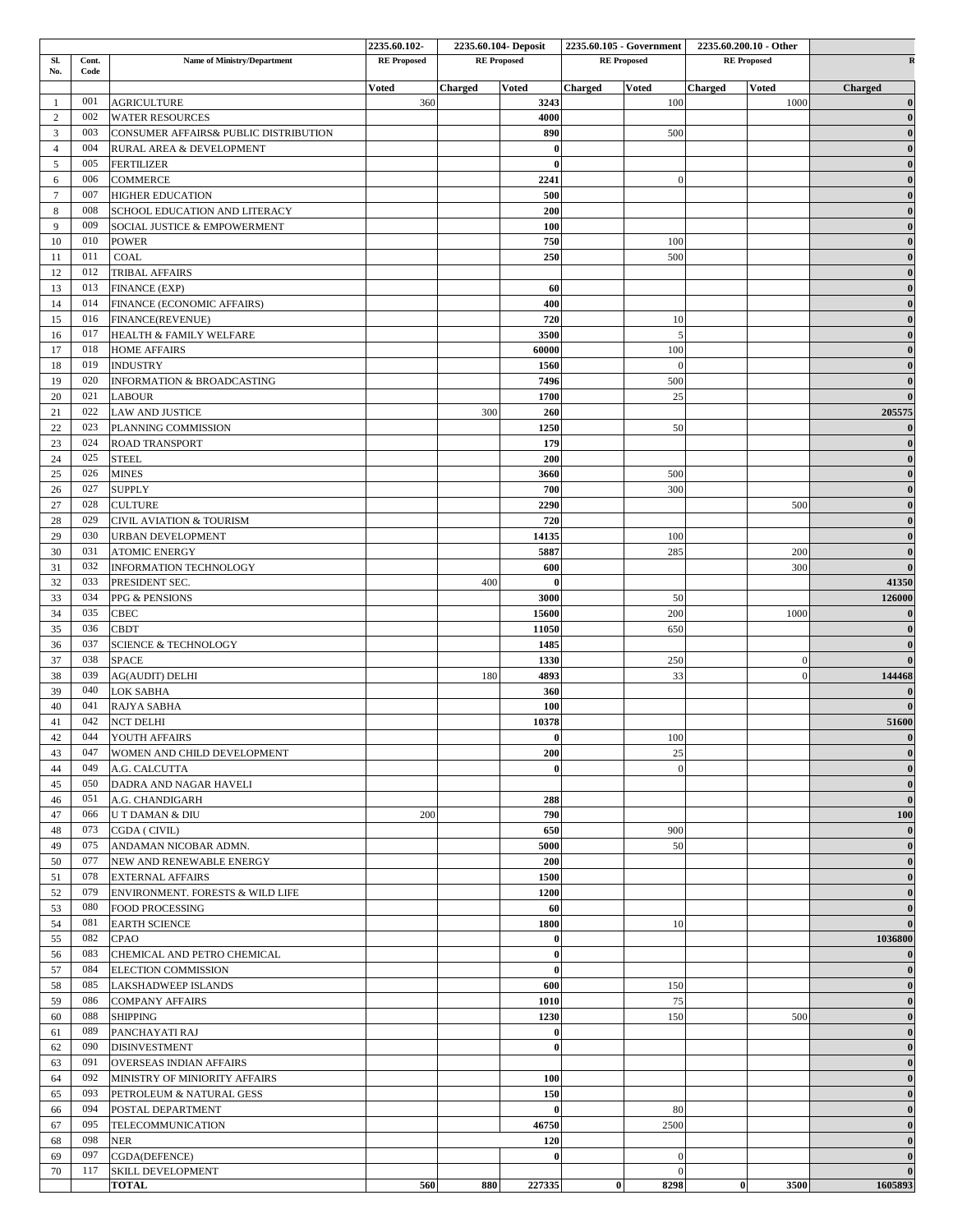|                |       |                                       | 2235.60.102        |         | 2235.60.104- Deposit | 2235.60.105 - Government |                    | 2235.60.200.10 - Other |                |                |  |
|----------------|-------|---------------------------------------|--------------------|---------|----------------------|--------------------------|--------------------|------------------------|----------------|----------------|--|
| SI.            | Cont. | Name of Ministry/Department           | <b>RE</b> Proposed |         | <b>RE</b> Proposed   |                          | <b>RE</b> Proposed | <b>RE</b> Proposed     |                |                |  |
| No.<br>Code    |       |                                       |                    |         |                      |                          |                    |                        |                |                |  |
|                | 001   |                                       | <b>Voted</b>       | Charged | <b>Voted</b>         | <b>Charged</b>           | <b>Voted</b>       | <b>Charged</b>         | <b>Voted</b>   | <b>Charged</b> |  |
| $\overline{1}$ | 002   | <b>AGRICULTURE</b>                    | 360                |         | 3243<br>4000         |                          | 100                |                        | 1000           |                |  |
| 2              | 003   | <b>WATER RESOURCES</b>                |                    |         |                      |                          |                    |                        |                |                |  |
| 3              |       | CONSUMER AFFAIRS& PUBLIC DISTRIBUTION |                    |         | 890                  |                          | 500                |                        |                |                |  |
| $\overline{4}$ | 004   | RURAL AREA & DEVELOPMENT              |                    |         | $\bf{0}$             |                          |                    |                        |                |                |  |
| 5              | 005   | <b>FERTILIZER</b>                     |                    |         | $\bf{0}$             |                          |                    |                        |                |                |  |
| 6              | 006   | <b>COMMERCE</b>                       |                    |         | 2241                 |                          |                    |                        |                |                |  |
| $\tau$         | 007   | <b>HIGHER EDUCATION</b>               |                    |         | 500                  |                          |                    |                        |                |                |  |
| 8              | 008   | SCHOOL EDUCATION AND LITERACY         |                    |         | 200                  |                          |                    |                        |                |                |  |
| 9              | 009   | SOCIAL JUSTICE & EMPOWERMENT          |                    |         | 100                  |                          |                    |                        |                |                |  |
| 10             | 010   | <b>POWER</b>                          |                    |         | 750                  |                          | 100                |                        |                |                |  |
| 11             | 011   | COAL                                  |                    |         | 250                  |                          | 500                |                        |                |                |  |
| 12             | 012   | <b>TRIBAL AFFAIRS</b>                 |                    |         |                      |                          |                    |                        |                |                |  |
| 13             | 013   | FINANCE (EXP)                         |                    |         | 60                   |                          |                    |                        |                |                |  |
| 14             | 014   | FINANCE (ECONOMIC AFFAIRS)            |                    |         | 400                  |                          |                    |                        |                |                |  |
| 15             | 016   | FINANCE(REVENUE)                      |                    |         | 720                  |                          | 10                 |                        |                |                |  |
| 16             | 017   | HEALTH & FAMILY WELFARE               |                    |         | 3500                 |                          | 5                  |                        |                |                |  |
| 17             | 018   |                                       |                    |         | 60000                |                          |                    |                        |                |                |  |
|                | 019   | <b>HOME AFFAIRS</b>                   |                    |         |                      |                          | 100<br>$\Omega$    |                        |                |                |  |
| 18             |       | <b>INDUSTRY</b>                       |                    |         | 1560                 |                          |                    |                        |                |                |  |
| 19             | 020   | INFORMATION & BROADCASTING            |                    |         | 7496                 |                          | 500                |                        |                |                |  |
| 20             | 021   | <b>LABOUR</b>                         |                    |         | 1700                 |                          | 25                 |                        |                |                |  |
| 21             | 022   | <b>LAW AND JUSTICE</b>                |                    | 300     | 260                  |                          |                    |                        |                | 205575         |  |
| 22             | 023   | PLANNING COMMISSION                   |                    |         | 1250                 |                          | 50                 |                        |                |                |  |
| 23             | 024   | <b>ROAD TRANSPORT</b>                 |                    |         | 179                  |                          |                    |                        |                |                |  |
| 24             | 025   | <b>STEEL</b>                          |                    |         | 200                  |                          |                    |                        |                |                |  |
| 25             | 026   | <b>MINES</b>                          |                    |         | 3660                 |                          | 500                |                        |                |                |  |
| 26             | 027   | <b>SUPPLY</b>                         |                    |         | 700                  |                          | 300                |                        |                |                |  |
| $27\,$         | 028   | <b>CULTURE</b>                        |                    |         | 2290                 |                          |                    |                        | 500            |                |  |
| 28             | 029   | CIVIL AVIATION & TOURISM              |                    |         | 720                  |                          |                    |                        |                |                |  |
| 29             | 030   | URBAN DEVELOPMENT                     |                    |         | 14135                |                          | 100                |                        |                |                |  |
| 30             | 031   | <b>ATOMIC ENERGY</b>                  |                    |         | 5887                 |                          | 285                |                        | 200            |                |  |
| 31             | 032   | INFORMATION TECHNOLOGY                |                    |         | 600                  |                          |                    |                        | 300            |                |  |
| 32             | 033   | PRESIDENT SEC.                        |                    | 400     | $\mathbf{0}$         |                          |                    |                        |                | 41350          |  |
| 33             | 034   | PPG & PENSIONS                        |                    |         | 3000                 |                          | 50                 |                        |                | 126000         |  |
| 34             | 035   | CBEC                                  |                    |         | 15600                |                          | 200                |                        | 1000           |                |  |
| 35             | 036   | <b>CBDT</b>                           |                    |         | 11050                |                          | 650                |                        |                |                |  |
|                | 037   | <b>SCIENCE &amp; TECHNOLOGY</b>       |                    |         |                      |                          |                    |                        |                |                |  |
| 36             |       |                                       |                    |         | 1485                 |                          |                    |                        |                |                |  |
| 37             | 038   | <b>SPACE</b>                          |                    |         | 1330                 |                          | 250                |                        | $\mathbf{0}$   |                |  |
| 38             | 039   | <b>AG(AUDIT) DELHI</b>                |                    | 180     | 4893                 |                          | 33                 |                        | $\overline{0}$ | 144468         |  |
| 39             | 040   | <b>LOK SABHA</b>                      |                    |         | 360                  |                          |                    |                        |                |                |  |
| 40             | 041   | RAJYA SABHA                           |                    |         | 100                  |                          |                    |                        |                |                |  |
| 41             | 042   | <b>NCT DELHI</b>                      |                    |         | 10378                |                          |                    |                        |                | 51600          |  |
| $42\,$         |       | 044 YOUTH AFFAIRS                     |                    |         | $\theta$             |                          | 100                |                        |                | $\mathbf{0}$   |  |
| 43             | 047   | WOMEN AND CHILD DEVELOPMENT           |                    |         | 200                  |                          | 25                 |                        |                |                |  |
| 44             | 049   | A.G. CALCUTTA                         |                    |         | 0                    |                          | $\Omega$           |                        |                |                |  |
| 45             | 050   | DADRA AND NAGAR HAVELI                |                    |         |                      |                          |                    |                        |                |                |  |
| 46             | 051   | A.G. CHANDIGARH                       |                    |         | 288                  |                          |                    |                        |                |                |  |
| 47             | 066   | U T DAMAN & DIU                       | 200                |         | 790                  |                          |                    |                        |                | 100            |  |
| 48             | 073   | CGDA ( CIVIL)                         |                    |         | 650                  |                          | 900                |                        |                |                |  |
| 49             | 075   | ANDAMAN NICOBAR ADMN.                 |                    |         | 5000                 |                          | 50                 |                        |                |                |  |
| 50             | 077   | NEW AND RENEWABLE ENERGY              |                    |         | 200                  |                          |                    |                        |                |                |  |
| 51             | 078   | <b>EXTERNAL AFFAIRS</b>               |                    |         | 1500                 |                          |                    |                        |                |                |  |
| 52             | 079   | ENVIRONMENT. FORESTS & WILD LIFE      |                    |         | 1200                 |                          |                    |                        |                |                |  |
|                | 080   |                                       |                    |         |                      |                          |                    |                        |                |                |  |
| 53             |       | <b>FOOD PROCESSING</b>                |                    |         | 60                   |                          |                    |                        |                |                |  |
| 54             | 081   | <b>EARTH SCIENCE</b>                  |                    |         | 1800                 |                          | 10                 |                        |                |                |  |
| 55             | 082   | <b>CPAO</b>                           |                    |         | $\bf{0}$             |                          |                    |                        |                | 1036800        |  |
| 56             | 083   | CHEMICAL AND PETRO CHEMICAL           |                    |         | $\bf{0}$             |                          |                    |                        |                |                |  |
| 57             | 084   | <b>ELECTION COMMISSION</b>            |                    |         | $\bf{0}$             |                          |                    |                        |                |                |  |
| 58             | 085   | <b>LAKSHADWEEP ISLANDS</b>            |                    |         | 600                  |                          | 150                |                        |                |                |  |
| 59             | 086   | <b>COMPANY AFFAIRS</b>                |                    |         | 1010                 |                          | 75                 |                        |                |                |  |
| 60             | 088   | SHIPPING                              |                    |         | 1230                 |                          | 150                |                        | 500            |                |  |
| 61             | 089   | PANCHAYATI RAJ                        |                    |         | $\bf{0}$             |                          |                    |                        |                |                |  |
| 62             | 090   | <b>DISINVESTMENT</b>                  |                    |         | $\mathbf{0}$         |                          |                    |                        |                |                |  |
| 63             | 091   | <b>OVERSEAS INDIAN AFFAIRS</b>        |                    |         |                      |                          |                    |                        |                |                |  |
| 64             | 092   | MINISTRY OF MINIORITY AFFAIRS         |                    |         | 100                  |                          |                    |                        |                |                |  |
| 65             | 093   | PETROLEUM & NATURAL GESS              |                    |         | 150                  |                          |                    |                        |                |                |  |
|                | 094   | POSTAL DEPARTMENT                     |                    |         | $\bf{0}$             |                          | 80                 |                        |                |                |  |
| 66             | 095   |                                       |                    |         |                      |                          |                    |                        |                |                |  |
| 67             |       | TELECOMMUNICATION                     |                    |         | 46750                |                          | 2500               |                        |                |                |  |
| 68             | 098   | <b>NER</b>                            |                    |         | 120                  |                          |                    |                        |                |                |  |
| 69             | 097   | CGDA(DEFENCE)                         |                    |         | $\bf{0}$             |                          | $\mathbf{0}$       |                        |                |                |  |
| 70             | 117   | SKILL DEVELOPMENT                     |                    |         |                      |                          | $\Omega$           |                        |                |                |  |
|                |       | <b>TOTAL</b>                          | 560                | 880     | 227335               | $\mathbf{0}$             | 8298               | $\bf{0}$               | 3500           | 1605893        |  |